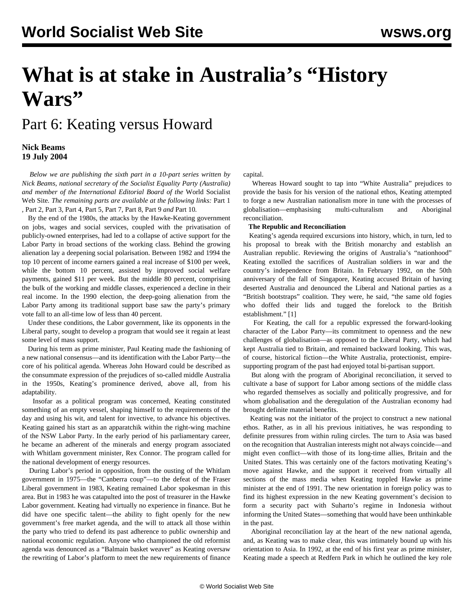# **What is at stake in Australia's "History Wars"**

## Part 6: Keating versus Howard

#### **Nick Beams 19 July 2004**

 *Below we are publishing the sixth part in a 10-part series written by Nick Beams, national secretary of the Socialist Equality Party (Australia) and member of the International Editorial Board of the* World Socialist Web Site*. The remaining parts are available at the following links:* [Part 1](/en/articles/2004/07/hiw1-j12.html) *,* [Part 2](/en/articles/2004/07/hiw2-j13.html)*,* [Part 3](/en/articles/2004/07/hiw3-j14.html)*,* [Part 4](/en/articles/2004/07/hiw4-j15.html)*,* [Part 5](/en/articles/2004/07/hiw5-j16.html)*,* [Part 7](/en/articles/2004/07/hiw7-j20.html)*,* [Part 8](/en/articles/2004/07/hiw8-j21.html)*,* [Part 9](/en/articles/2004/07/hiw9-j22.html) *and* [Part 10](/en/articles/2004/07/hw10-j23.html)*.*

 By the end of the 1980s, the attacks by the Hawke-Keating government on jobs, wages and social services, coupled with the privatisation of publicly-owned enterprises, had led to a collapse of active support for the Labor Party in broad sections of the working class. Behind the growing alienation lay a deepening social polarisation. Between 1982 and 1994 the top 10 percent of income earners gained a real increase of \$100 per week, while the bottom 10 percent, assisted by improved social welfare payments, gained \$11 per week. But the middle 80 percent, comprising the bulk of the working and middle classes, experienced a decline in their real income. In the 1990 election, the deep-going alienation from the Labor Party among its traditional support base saw the party's primary vote fall to an all-time low of less than 40 percent.

 Under these conditions, the Labor government, like its opponents in the Liberal party, sought to develop a program that would see it regain at least some level of mass support.

 During his term as prime minister, Paul Keating made the fashioning of a new national consensus—and its identification with the Labor Party—the core of his political agenda. Whereas John Howard could be described as the consummate expression of the prejudices of so-called middle Australia in the 1950s, Keating's prominence derived, above all, from his adaptability.

 Insofar as a political program was concerned, Keating constituted something of an empty vessel, shaping himself to the requirements of the day and using his wit, and talent for invective, to advance his objectives. Keating gained his start as an apparatchik within the right-wing machine of the NSW Labor Party. In the early period of his parliamentary career, he became an adherent of the minerals and energy program associated with Whitlam government minister, Rex Connor. The program called for the national development of energy resources.

 During Labor's period in opposition, from the ousting of the Whitlam government in 1975—the "Canberra coup"—to the defeat of the Fraser Liberal government in 1983, Keating remained Labor spokesman in this area. But in 1983 he was catapulted into the post of treasurer in the Hawke Labor government. Keating had virtually no experience in finance. But he did have one specific talent—the ability to fight openly for the new government's free market agenda, and the will to attack all those within the party who tried to defend its past adherence to public ownership and national economic regulation. Anyone who championed the old reformist agenda was denounced as a "Balmain basket weaver" as Keating oversaw the rewriting of Labor's platform to meet the new requirements of finance capital.

 Whereas Howard sought to tap into "White Australia" prejudices to provide the basis for his version of the national ethos, Keating attempted to forge a new Australian nationalism more in tune with the processes of globalisation—emphasising multi-culturalism and Aboriginal reconciliation.

#### **The Republic and Reconciliation**

 Keating's agenda required excursions into history, which, in turn, led to his proposal to break with the British monarchy and establish an Australian republic. Reviewing the origins of Australia's "nationhood" Keating extolled the sacrifices of Australian soldiers in war and the country's independence from Britain. In February 1992, on the 50th anniversary of the fall of Singapore, Keating accused Britain of having deserted Australia and denounced the Liberal and National parties as a "British bootstraps" coalition. They were, he said, "the same old fogies who doffed their lids and tugged the forelock to the British establishment." [1]

 For Keating, the call for a republic expressed the forward-looking character of the Labor Party—its commitment to openness and the new challenges of globalisation—as opposed to the Liberal Party, which had kept Australia tied to Britain, and remained backward looking. This was, of course, historical fiction—the White Australia, protectionist, empiresupporting program of the past had enjoyed total bi-partisan support.

 But along with the program of Aboriginal reconciliation, it served to cultivate a base of support for Labor among sections of the middle class who regarded themselves as socially and politically progressive, and for whom globalisation and the deregulation of the Australian economy had brought definite material benefits.

 Keating was not the initiator of the project to construct a new national ethos. Rather, as in all his previous initiatives, he was responding to definite pressures from within ruling circles. The turn to Asia was based on the recognition that Australian interests might not always coincide—and might even conflict—with those of its long-time allies, Britain and the United States. This was certainly one of the factors motivating Keating's move against Hawke, and the support it received from virtually all sections of the mass media when Keating toppled Hawke as prime minister at the end of 1991. The new orientation in foreign policy was to find its highest expression in the new Keating government's decision to form a security pact with Suharto's regime in Indonesia without informing the United States—something that would have been unthinkable in the past.

 Aboriginal reconciliation lay at the heart of the new national agenda, and, as Keating was to make clear, this was intimately bound up with his orientation to Asia. In 1992, at the end of his first year as prime minister, Keating made a speech at Redfern Park in which he outlined the key role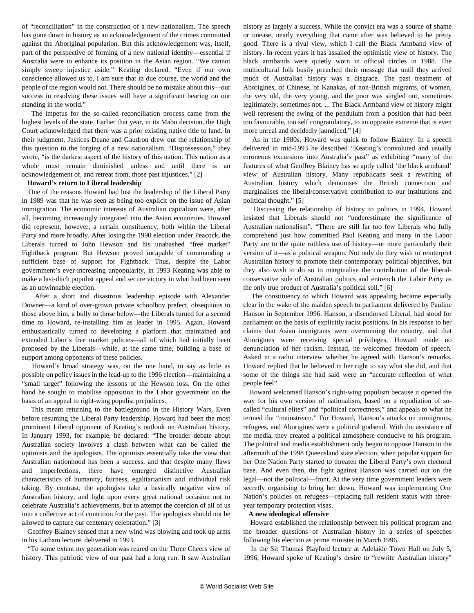of "reconciliation" in the construction of a new nationalism. The speech has gone down in history as an acknowledgement of the crimes committed against the Aboriginal population. But this acknowledgement was, itself, part of the perspective of forming of a new national identity—essential if Australia were to enhance its position in the Asian region. "We cannot simply sweep injustice aside," Keating declared. "Even if our own conscience allowed us to, I am sure that in due course, the world and the people of the region would not. There should be no mistake about this—our success in resolving these issues will have a significant bearing on our standing in the world."

 The impetus for the so-called reconciliation process came from the highest levels of the state. Earlier that year, in its Mabo decision, the High Court acknowledged that there was a prior existing native title to land. In their judgment, Justices Deane and Gaudron drew out the relationship of this question to the forging of a new nationalism. "Dispossession," they wrote, "is the darkest aspect of the history of this nation. This nation as a whole must remain diminished unless and until there is an acknowledgement of, and retreat from, those past injustices." [2]

#### **Howard's return to Liberal leadership**

 One of the reasons Howard had lost the leadership of the Liberal Party in 1989 was that he was seen as being too explicit on the issue of Asian immigration. The economic interests of Australian capitalism were, after all, becoming increasingly integrated into the Asian economies. Howard did represent, however, a certain constituency, both within the Liberal Party and more broadly. After losing the 1990 election under Peacock, the Liberals turned to John Hewson and his unabashed "free market" Fightback program. But Hewson proved incapable of commanding a sufficient base of support for Fightback. Thus, despite the Labor government's ever-increasing unpopularity, in 1993 Keating was able to make a last-ditch populist appeal and secure victory in what had been seen as an unwinnable election.

 After a short and disastrous leadership episode with Alexander Downer—a kind of over-grown private schoolboy prefect, obsequious to those above him, a bully to those below—the Liberals turned for a second time to Howard, re-installing him as leader in 1995. Again, Howard enthusiastically turned to developing a platform that maintained and extended Labor's free market policies—all of which had initially been proposed by the Liberals—while, at the same time, building a base of support among opponents of these policies.

 Howard's broad strategy was, on the one hand, to say as little as possible on policy issues in the lead-up to the 1996 election—maintaining a "small target" following the lessons of the Hewson loss. On the other hand he sought to mobilise opposition to the Labor government on the basis of an appeal to right-wing populist prejudices.

 This meant returning to the battleground in the History Wars. Even before resuming the Liberal Party leadership, Howard had been the most prominent Liberal opponent of Keating's outlook on Australian history. In January 1993, for example, he declared: "The broader debate about Australian society involves a clash between what can be called the optimists and the apologists. The optimists essentially take the view that Australian nationhood has been a success, and that despite many flaws and imperfections, there have emerged distinctive Australian characteristics of humanity, fairness, egalitarianism and individual risk taking. By contrast, the apologists take a basically negative view of Australian history, and light upon every great national occasion not to celebrate Australia's achievements, but to attempt the coercion of all of us into a collective act of contrition for the past. The apologists should not be allowed to capture our centenary celebration." [3]

 Geoffrey Blainey sensed that a new wind was blowing and took up arms in his Latham lecture, delivered in 1993.

 "To some extent my generation was reared on the Three Cheers view of history. This patriotic view of our past had a long run. It saw Australian history as largely a success. While the convict era was a source of shame or unease, nearly everything that came after was believed to be pretty good. There is a rival view, which I call the Black Armband view of history. In recent years it has assailed the optimistic view of history. The black armbands were quietly worn in official circles in 1988. The multicultural folk busily preached their message that until they arrived much of Australian history was a disgrace. The past treatment of Aborigines, of Chinese, of Kanakas, of non-British migrants, of women, the very old, the very young, and the poor was singled out, sometimes legitimately, sometimes not. ... The Black Armband view of history might well represent the swing of the pendulum from a position that had been too favourable, too self congratulatory, to an opposite extreme that is even more unreal and decidedly jaundiced." [4]

 As in the 1980s, Howard was quick to follow Blainey. In a speech delivered in mid-1993 he described "Keating's convoluted and usually erroneous excursions into Australia's past" as exhibiting "many of the features of what Geoffrey Blainey has so aptly called 'the black armband' view of Australian history. Many republicans seek a rewriting of Australian history which demonises the British connection and marginalises the liberal/conservative contribution to our institutions and political thought." [5]

 Discussing the relationship of history to politics in 1994, Howard insisted that Liberals should not "underestimate the significance of Australian nationalism". "There are still far too few Liberals who fully comprehend just how committed Paul Keating and many in the Labor Party are to the quite ruthless use of history—or more particularly their version of it—as a political weapon. Not only do they wish to reinterpret Australian history to promote their contemporary political objectives, but they also wish to do so to marginalise the contribution of the liberalconservative side of Australian politics and entrench the Labor Party as the only true product of Australia's political soil." [6]

 The constituency to which Howard was appealing became especially clear in the wake of the maiden speech to parliament delivered by Pauline Hanson in September 1996. Hanson, a disendorsed Liberal, had stood for parliament on the basis of explicitly racist positions. In his response to her claims that Asian immigrants were overrunning the country, and that Aborigines were receiving special privileges, Howard made no denunciation of her racism. Instead, he welcomed freedom of speech. Asked in a radio interview whether he agreed with Hanson's remarks, Howard replied that he believed in her right to say what she did, and that some of the things she had said were an "accurate reflection of what people feel".

 Howard welcomed Hanson's right-wing populism because it opened the way for his own version of nationalism, based on a repudiation of socalled "cultural elites" and "political correctness," and appeals to what he termed the "mainstream." For Howard, Hanson's attacks on immigrants, refugees, and Aborigines were a political godsend. With the assistance of the media, they created a political atmosphere conducive to his program. The political and media establishment only began to oppose Hanson in the aftermath of the 1998 Queensland state election, when popular support for her One Nation Party started to threaten the Liberal Party's own electoral base. And even then, the fight against Hanson was carried out on the legal—not the political—front. At the very time government leaders were secretly organising to bring her down, Howard was implementing One Nation's policies on refugees—replacing full resident status with threeyear temporary protection visas.

#### **A new ideological offensive**

 Howard established the relationship between his political program and the broader questions of Australian history in a series of speeches following his election as prime minister in March 1996.

 In the Sir Thomas Playford lecture at Adelaide Town Hall on July 5, 1996, Howard spoke of Keating's desire to "rewrite Australian history"